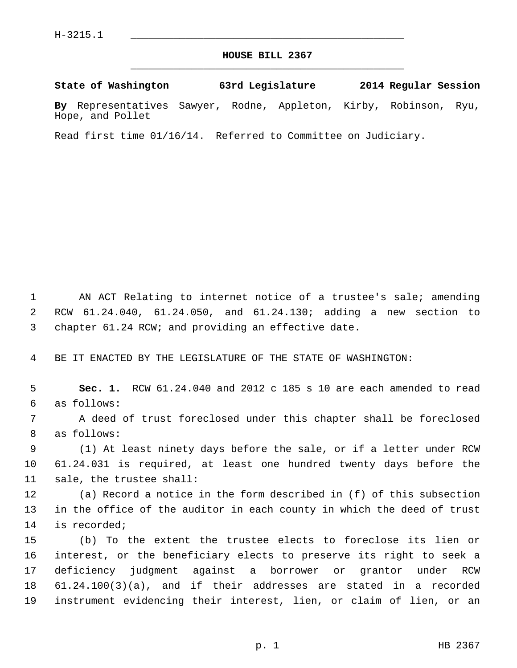### **HOUSE BILL 2367** \_\_\_\_\_\_\_\_\_\_\_\_\_\_\_\_\_\_\_\_\_\_\_\_\_\_\_\_\_\_\_\_\_\_\_\_\_\_\_\_\_\_\_\_\_

### **State of Washington 63rd Legislature 2014 Regular Session**

**By** Representatives Sawyer, Rodne, Appleton, Kirby, Robinson, Ryu, Hope, and Pollet

Read first time 01/16/14. Referred to Committee on Judiciary.

 1 AN ACT Relating to internet notice of a trustee's sale; amending 2 RCW 61.24.040, 61.24.050, and 61.24.130; adding a new section to 3 chapter 61.24 RCW; and providing an effective date.

4 BE IT ENACTED BY THE LEGISLATURE OF THE STATE OF WASHINGTON:

 5 **Sec. 1.** RCW 61.24.040 and 2012 c 185 s 10 are each amended to read 6 as follows:

 7 A deed of trust foreclosed under this chapter shall be foreclosed 8 as follows:

 9 (1) At least ninety days before the sale, or if a letter under RCW 10 61.24.031 is required, at least one hundred twenty days before the 11 sale, the trustee shall:

12 (a) Record a notice in the form described in (f) of this subsection 13 in the office of the auditor in each county in which the deed of trust 14 is recorded;

15 (b) To the extent the trustee elects to foreclose its lien or 16 interest, or the beneficiary elects to preserve its right to seek a 17 deficiency judgment against a borrower or grantor under RCW 18 61.24.100(3)(a), and if their addresses are stated in a recorded 19 instrument evidencing their interest, lien, or claim of lien, or an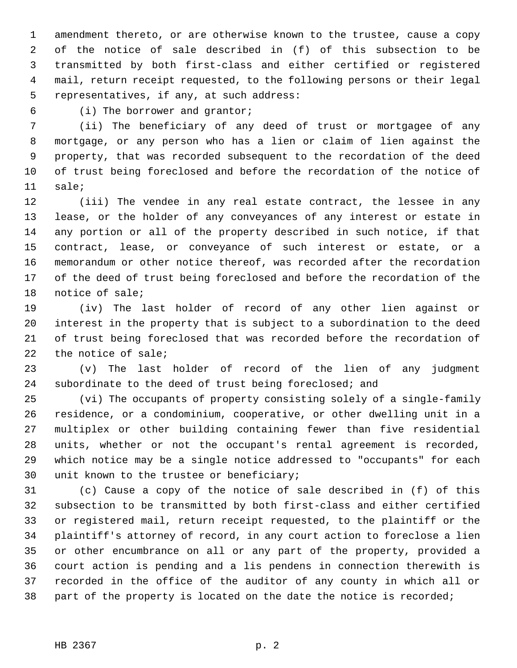1 amendment thereto, or are otherwise known to the trustee, cause a copy 2 of the notice of sale described in (f) of this subsection to be 3 transmitted by both first-class and either certified or registered 4 mail, return receipt requested, to the following persons or their legal 5 representatives, if any, at such address:

6 (i) The borrower and grantor;

 7 (ii) The beneficiary of any deed of trust or mortgagee of any 8 mortgage, or any person who has a lien or claim of lien against the 9 property, that was recorded subsequent to the recordation of the deed 10 of trust being foreclosed and before the recordation of the notice of 11 sale;

12 (iii) The vendee in any real estate contract, the lessee in any 13 lease, or the holder of any conveyances of any interest or estate in 14 any portion or all of the property described in such notice, if that 15 contract, lease, or conveyance of such interest or estate, or a 16 memorandum or other notice thereof, was recorded after the recordation 17 of the deed of trust being foreclosed and before the recordation of the 18 notice of sale;

19 (iv) The last holder of record of any other lien against or 20 interest in the property that is subject to a subordination to the deed 21 of trust being foreclosed that was recorded before the recordation of 22 the notice of sale;

23 (v) The last holder of record of the lien of any judgment 24 subordinate to the deed of trust being foreclosed; and

25 (vi) The occupants of property consisting solely of a single-family 26 residence, or a condominium, cooperative, or other dwelling unit in a 27 multiplex or other building containing fewer than five residential 28 units, whether or not the occupant's rental agreement is recorded, 29 which notice may be a single notice addressed to "occupants" for each 30 unit known to the trustee or beneficiary;

31 (c) Cause a copy of the notice of sale described in (f) of this 32 subsection to be transmitted by both first-class and either certified 33 or registered mail, return receipt requested, to the plaintiff or the 34 plaintiff's attorney of record, in any court action to foreclose a lien 35 or other encumbrance on all or any part of the property, provided a 36 court action is pending and a lis pendens in connection therewith is 37 recorded in the office of the auditor of any county in which all or 38 part of the property is located on the date the notice is recorded;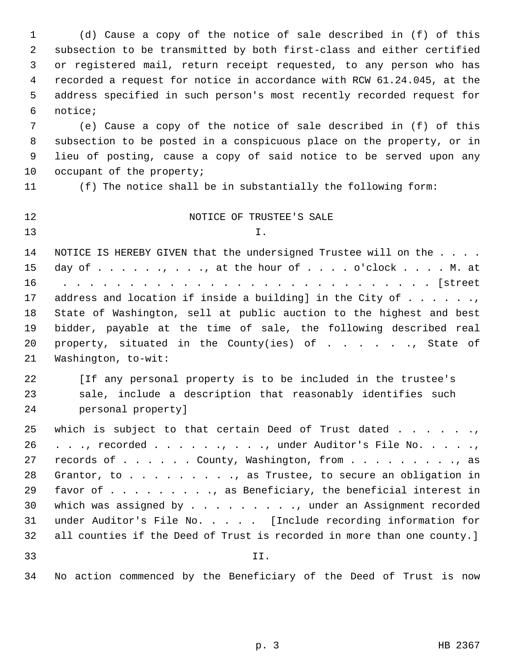1 (d) Cause a copy of the notice of sale described in (f) of this 2 subsection to be transmitted by both first-class and either certified 3 or registered mail, return receipt requested, to any person who has 4 recorded a request for notice in accordance with RCW 61.24.045, at the 5 address specified in such person's most recently recorded request for 6 notice;

 7 (e) Cause a copy of the notice of sale described in (f) of this 8 subsection to be posted in a conspicuous place on the property, or in 9 lieu of posting, cause a copy of said notice to be served upon any 10 occupant of the property;

11 (f) The notice shall be in substantially the following form:

12 NOTICE OF TRUSTEE'S SALE  $13$  I. 14 NOTICE IS HEREBY GIVEN that the undersigned Trustee will on the . . . . 15 day of  $\dots$   $\dots$ ,  $\dots$ ,  $\dots$ , at the hour of  $\dots$  .  $\dots$  o'clock  $\dots$ . M. at 16 . . . . . . . . . . . . . . . . . . . . . . . . . . . . [street 17 address and location if inside a building] in the City of  $\dots$ ... 18 State of Washington, sell at public auction to the highest and best 19 bidder, payable at the time of sale, the following described real 20 property, situated in the County(ies) of . . . . . ., State of 21 Washington, to-wit: 22 [If any personal property is to be included in the trustee's 23 sale, include a description that reasonably identifies such 24 personal property] 25 which is subject to that certain Deed of Trust dated . . . . . ., 26 . . ., recorded . . . . . ., . . ., under Auditor's File No. . . . ., 27 records of . . . . . County, Washington, from . . . . . . . . . . as 28 Grantor, to . . . . . . . . ., as Trustee, to secure an obligation in 29 favor of . . . . . . . . ., as Beneficiary, the beneficial interest in 30 which was assigned by . . . . . . . . . , under an Assignment recorded 31 under Auditor's File No. . . . . [Include recording information for 32 all counties if the Deed of Trust is recorded in more than one county.] 33 II. 34 No action commenced by the Beneficiary of the Deed of Trust is now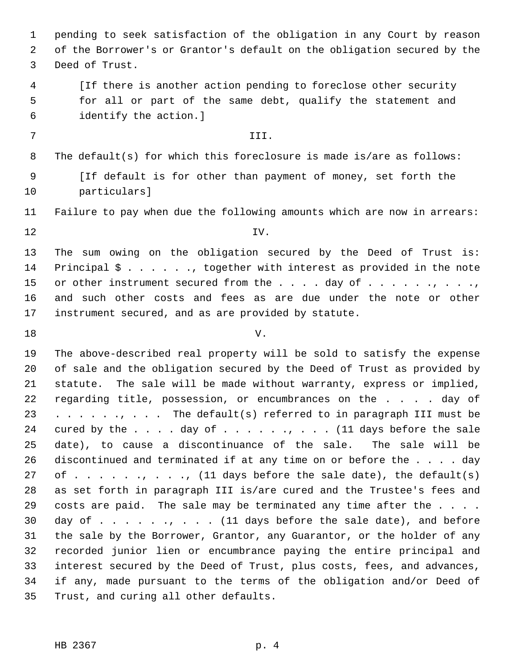1 pending to seek satisfaction of the obligation in any Court by reason 2 of the Borrower's or Grantor's default on the obligation secured by the 3 Deed of Trust.

 4 [If there is another action pending to foreclose other security 5 for all or part of the same debt, qualify the statement and 6 identify the action.]

## 7 III.

8 The default(s) for which this foreclosure is made is/are as follows:

 9 [If default is for other than payment of money, set forth the 10 particulars]

11 Failure to pay when due the following amounts which are now in arrears:

 $12$  IV.

13 The sum owing on the obligation secured by the Deed of Trust is: 14 Principal \$ . . . . . ., together with interest as provided in the note 15 or other instrument secured from the  $\ldots$  . day of  $\ldots$  . . . . . . . . . 16 and such other costs and fees as are due under the note or other 17 instrument secured, and as are provided by statute.

 $18$  V.

19 The above-described real property will be sold to satisfy the expense 20 of sale and the obligation secured by the Deed of Trust as provided by 21 statute. The sale will be made without warranty, express or implied, 22 regarding title, possession, or encumbrances on the . . . . day of 23 . . . . . . . . The default(s) referred to in paragraph III must be 24 cured by the  $\ldots$  . . day of  $\ldots$  . . . . . . . . . . (11 days before the sale 25 date), to cause a discontinuance of the sale. The sale will be 26 discontinued and terminated if at any time on or before the . . . . day 27 of  $\dots$  . . . ., . ., (11 days before the sale date), the default(s) 28 as set forth in paragraph III is/are cured and the Trustee's fees and 29 costs are paid. The sale may be terminated any time after the . . . . 30 day of . . . . . . , . . . (11 days before the sale date), and before 31 the sale by the Borrower, Grantor, any Guarantor, or the holder of any 32 recorded junior lien or encumbrance paying the entire principal and 33 interest secured by the Deed of Trust, plus costs, fees, and advances, 34 if any, made pursuant to the terms of the obligation and/or Deed of 35 Trust, and curing all other defaults.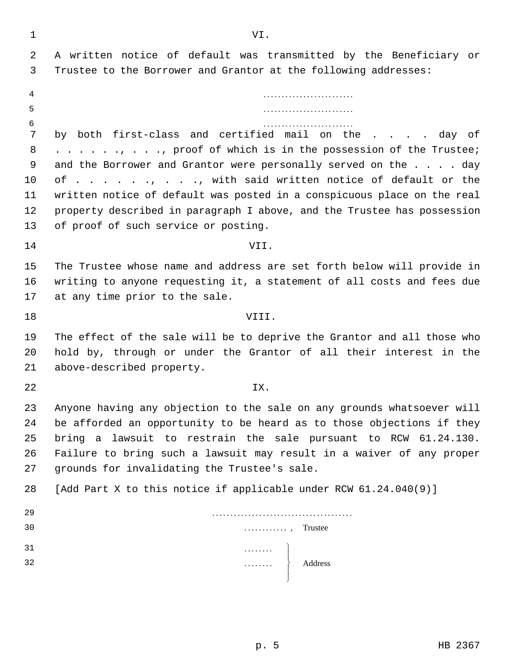| 1      | VI.                                                                                                                                  |  |
|--------|--------------------------------------------------------------------------------------------------------------------------------------|--|
| 2      | A written notice of default was transmitted by the Beneficiary or                                                                    |  |
| 3      | Trustee to the Borrower and Grantor at the following addresses:                                                                      |  |
| 4      |                                                                                                                                      |  |
| 5      |                                                                                                                                      |  |
| 6      |                                                                                                                                      |  |
| 7      | by both first-class and certified mail on the day of                                                                                 |  |
| 8<br>9 | , , , proof of which is in the possession of the Trustee;<br>and the Borrower and Grantor were personally served on the $\ldots$ day |  |
| 10     | of,, with said written notice of default or the                                                                                      |  |
| 11     | written notice of default was posted in a conspicuous place on the real                                                              |  |
| 12     | property described in paragraph I above, and the Trustee has possession                                                              |  |
| 13     | of proof of such service or posting.                                                                                                 |  |
| 14     | VII.                                                                                                                                 |  |
| 15     | The Trustee whose name and address are set forth below will provide in                                                               |  |
| 16     | writing to anyone requesting it, a statement of all costs and fees due                                                               |  |
| 17     | at any time prior to the sale.                                                                                                       |  |
| 18     | VIII.                                                                                                                                |  |
| 19     | The effect of the sale will be to deprive the Grantor and all those who                                                              |  |
| 20     | hold by, through or under the Grantor of all their interest in the                                                                   |  |
| 21     | above-described property.                                                                                                            |  |
| 22     | IX.                                                                                                                                  |  |
| 23     | Anyone having any objection to the sale on any grounds whatsoever will                                                               |  |
| 24     | be afforded an opportunity to be heard as to those objections if they                                                                |  |
| 25     | bring a lawsuit to restrain the sale pursuant to RCW 61.24.130.                                                                      |  |
| 26     | Failure to bring such a lawsuit may result in a waiver of any proper                                                                 |  |
| 27     | grounds for invalidating the Trustee's sale.                                                                                         |  |
| 28     | [Add Part X to this notice if applicable under RCW 61.24.040(9)]                                                                     |  |
| 29     |                                                                                                                                      |  |
| 30     | $\ldots$ , Trustee                                                                                                                   |  |
| 31     |                                                                                                                                      |  |
| 32     | $\begin{matrix} \cdots & \cdots & \cdots \\ \cdots & \cdots & \cdots \\ \cdots & \cdots & \cdots \end{matrix}$ Address               |  |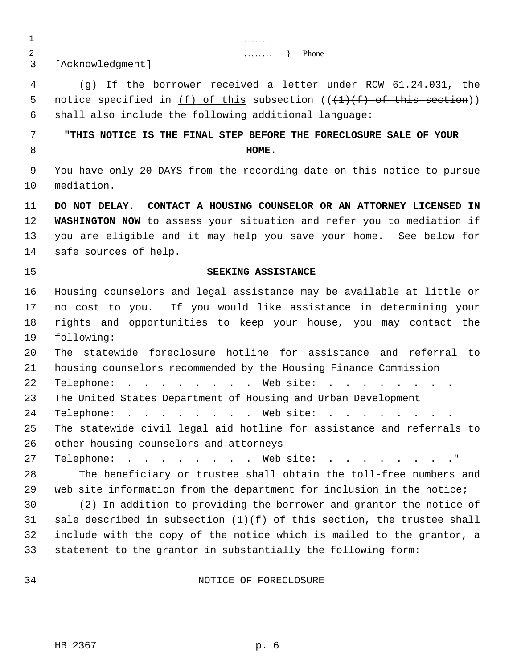1 . . . . . . . . 2 . . . . . . . . } Phone

3 [Acknowledgment]

 4 (g) If the borrower received a letter under RCW 61.24.031, the 5 notice specified in  $(f)$  of this subsection  $((+1)+(f)$  of this section)) 6 shall also include the following additional language:

# 7 **"THIS NOTICE IS THE FINAL STEP BEFORE THE FORECLOSURE SALE OF YOUR** 8 **HOME.**

 9 You have only 20 DAYS from the recording date on this notice to pursue 10 mediation.

11 **DO NOT DELAY. CONTACT A HOUSING COUNSELOR OR AN ATTORNEY LICENSED IN** 12 **WASHINGTON NOW** to assess your situation and refer you to mediation if 13 you are eligible and it may help you save your home. See below for 14 safe sources of help.

# 15 **SEEKING ASSISTANCE**

16 Housing counselors and legal assistance may be available at little or 17 no cost to you. If you would like assistance in determining your 18 rights and opportunities to keep your house, you may contact the 19 following:

20 The statewide foreclosure hotline for assistance and referral to 21 housing counselors recommended by the Housing Finance Commission

22 Telephone: . . . . . . . . Web site: . . . .

23 The United States Department of Housing and Urban Development

24 Telephone: . . . . . . . Web site: . . . . . . . .

25 The statewide civil legal aid hotline for assistance and referrals to 26 other housing counselors and attorneys

27 Telephone: . . . . . . . Web site: . . . . . . . . "

28 The beneficiary or trustee shall obtain the toll-free numbers and 29 web site information from the department for inclusion in the notice;

30 (2) In addition to providing the borrower and grantor the notice of 31 sale described in subsection  $(1)(f)$  of this section, the trustee shall 32 include with the copy of the notice which is mailed to the grantor, a 33 statement to the grantor in substantially the following form:

### 34 NOTICE OF FORECLOSURE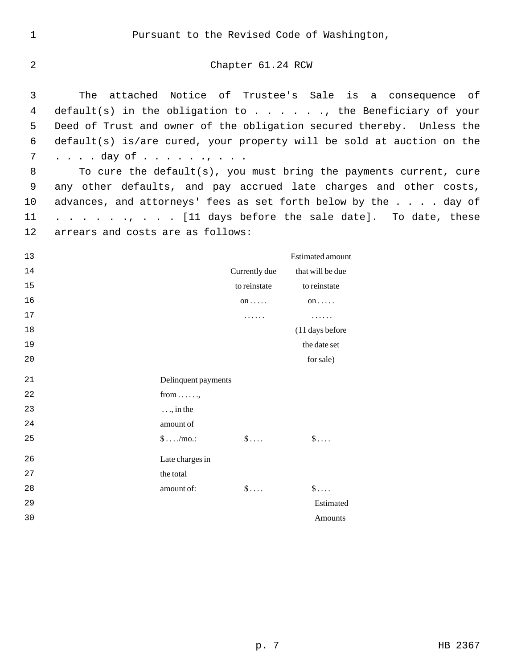1 Pursuant to the Revised Code of Washington,

2 Chapter 61.24 RCW

 3 The attached Notice of Trustee's Sale is a consequence of 4 default(s) in the obligation to . . . . . ., the Beneficiary of your 5 Deed of Trust and owner of the obligation secured thereby. Unless the 6 default(s) is/are cured, your property will be sold at auction on the 7 . . . . day of . . . . . . . . . .

 8 To cure the default(s), you must bring the payments current, cure 9 any other defaults, and pay accrued late charges and other costs, 10 advances, and attorneys' fees as set forth below by the . . . . day of 11 . . . . . ., . . . [11 days before the sale date]. To date, these 12 arrears and costs are as follows:

13 Estimated amount 14 Currently due that will be due 15 to reinstate to reinstate to reinstate to reinstate the reinstate to reinstate the reinstate of the state of the state of the state of the state of the state of the state of the state of the state of the state of the st 16 **on** ..... **on** ..... **on** ..... **on** ..... 17 . . . . . . . . . . . . 18 (11 days before the contract of the contract of the contract of the contract of the contract of the contract of the contract of the contract of the contract of the contract of the contract of the contract of the contrac 19 the date set 20 for sale) 21 Delinquent payments 22 from . . . . . . 23 . . ., in the 24 amount of 25  $\qquad \qquad \text{\$\$\$} \dots \text{\$\$\$} \dots$ 26 Late charges in 27 the total 28 **amount of:**  $\$\dots$   $\$\dots$ 29 Estimated 30 Amounts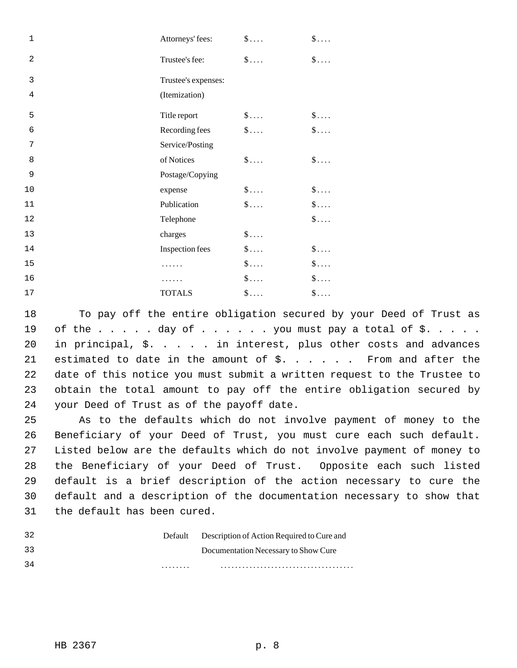| $\mathbf{1}$   | Attorneys' fees:    | $\S$        | $\S$        |
|----------------|---------------------|-------------|-------------|
| 2              | Trustee's fee:      | $\S$        | $\S$        |
| 3              | Trustee's expenses: |             |             |
| $\overline{4}$ | (Itemization)       |             |             |
| 5              | Title report        | $\$\ldots$  | $\$\ldots$  |
| $\epsilon$     | Recording fees      | $\S$        | $\$\ldots$  |
| 7              | Service/Posting     |             |             |
| 8              | of Notices          | $\S$        | $\S$        |
| 9              | Postage/Copying     |             |             |
| 10             | expense             | $\S$        | $\S$        |
| 11             | Publication         | $\S$        | $\$\ldots$  |
| 12             | Telephone           |             | $\$\ldots$  |
| 13             | charges             | $\$\ldots$  |             |
| 14             | Inspection fees     | $\$\ldots$  | $\S$        |
| 15             |                     | $\S \dots$  | $\S$        |
| 16             |                     | $\S \ldots$ | $\S \ldots$ |
| $17$           | <b>TOTALS</b>       | $\S \ldots$ | $\$\ldots$  |

18 To pay off the entire obligation secured by your Deed of Trust as 19 of the  $\ldots$  . . . day of  $\ldots$  . . . you must pay a total of \$. . . . . 20 in principal, \$. . . . . in interest, plus other costs and advances 21 estimated to date in the amount of \$. . . . . . From and after the 22 date of this notice you must submit a written request to the Trustee to 23 obtain the total amount to pay off the entire obligation secured by 24 your Deed of Trust as of the payoff date.

25 As to the defaults which do not involve payment of money to the 26 Beneficiary of your Deed of Trust, you must cure each such default. 27 Listed below are the defaults which do not involve payment of money to 28 the Beneficiary of your Deed of Trust. Opposite each such listed 29 default is a brief description of the action necessary to cure the 30 default and a description of the documentation necessary to show that 31 the default has been cured.

| -32 |   | Default Description of Action Required to Cure and |
|-----|---|----------------------------------------------------|
| 33  |   | Documentation Necessary to Show Cure               |
| -34 | . |                                                    |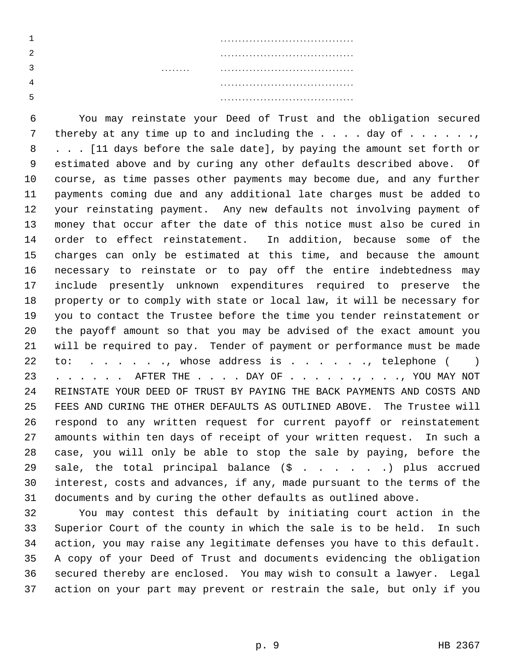6 You may reinstate your Deed of Trust and the obligation secured 7 thereby at any time up to and including the  $\ldots$  . day of  $\ldots$  . . . ., 8 . . . [11 days before the sale date], by paying the amount set forth or 9 estimated above and by curing any other defaults described above. Of 10 course, as time passes other payments may become due, and any further 11 payments coming due and any additional late charges must be added to 12 your reinstating payment. Any new defaults not involving payment of 13 money that occur after the date of this notice must also be cured in 14 order to effect reinstatement. In addition, because some of the 15 charges can only be estimated at this time, and because the amount 16 necessary to reinstate or to pay off the entire indebtedness may 17 include presently unknown expenditures required to preserve the 18 property or to comply with state or local law, it will be necessary for 19 you to contact the Trustee before the time you tender reinstatement or 20 the payoff amount so that you may be advised of the exact amount you 21 will be required to pay. Tender of payment or performance must be made 22 to: . . . . . , whose address is . . . . . . , telephone ( ) 23 . . . . . AFTER THE . . . . DAY OF . . . . . . . . . . , YOU MAY NOT 24 REINSTATE YOUR DEED OF TRUST BY PAYING THE BACK PAYMENTS AND COSTS AND 25 FEES AND CURING THE OTHER DEFAULTS AS OUTLINED ABOVE. The Trustee will 26 respond to any written request for current payoff or reinstatement 27 amounts within ten days of receipt of your written request. In such a 28 case, you will only be able to stop the sale by paying, before the 29 sale, the total principal balance  $(\hat{S}$  . . . . . ) plus accrued 30 interest, costs and advances, if any, made pursuant to the terms of the 31 documents and by curing the other defaults as outlined above.

32 You may contest this default by initiating court action in the 33 Superior Court of the county in which the sale is to be held. In such 34 action, you may raise any legitimate defenses you have to this default. 35 A copy of your Deed of Trust and documents evidencing the obligation 36 secured thereby are enclosed. You may wish to consult a lawyer. Legal 37 action on your part may prevent or restrain the sale, but only if you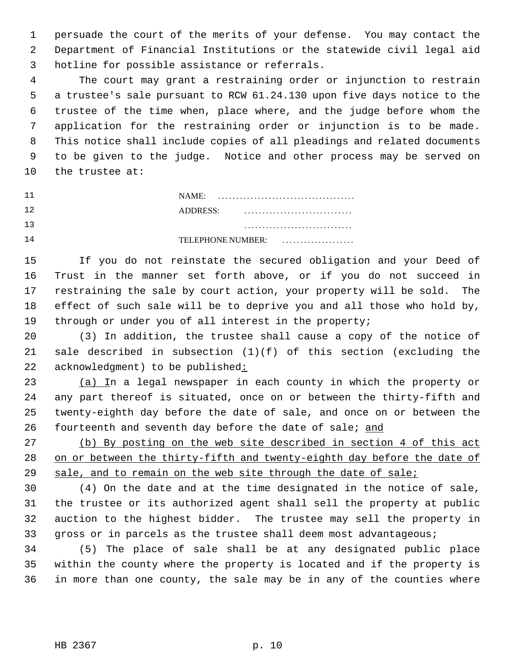1 persuade the court of the merits of your defense. You may contact the 2 Department of Financial Institutions or the statewide civil legal aid 3 hotline for possible assistance or referrals.

 4 The court may grant a restraining order or injunction to restrain 5 a trustee's sale pursuant to RCW 61.24.130 upon five days notice to the 6 trustee of the time when, place where, and the judge before whom the 7 application for the restraining order or injunction is to be made. 8 This notice shall include copies of all pleadings and related documents 9 to be given to the judge. Notice and other process may be served on 10 the trustee at:

| . . | . . |
|-----|-----|
|     |     |
|     |     |
|     |     |

11 NAME: . . . . . . . . . . . . . . . . . . . . . . . . . . . . . . . . . . . . . . 12 ADDRESS: . . . . . . . . . . . . . . . . . . . . . . . . . . . . . . 13 . . . . . . . . . . . . . . . . . . . . . . . . . . . . . .

14 TELEPHONE NUMBER: . . . . . . . . . . . . . . . . . . . .

15 If you do not reinstate the secured obligation and your Deed of 16 Trust in the manner set forth above, or if you do not succeed in 17 restraining the sale by court action, your property will be sold. The 18 effect of such sale will be to deprive you and all those who hold by, 19 through or under you of all interest in the property;

20 (3) In addition, the trustee shall cause a copy of the notice of 21 sale described in subsection  $(1)(f)$  of this section (excluding the 22 acknowledgment) to be published:

23 (a) In a legal newspaper in each county in which the property or 24 any part thereof is situated, once on or between the thirty-fifth and 25 twenty-eighth day before the date of sale, and once on or between the 26 fourteenth and seventh day before the date of sale; and

27 (b) By posting on the web site described in section 4 of this act 28 on or between the thirty-fifth and twenty-eighth day before the date of 29 sale, and to remain on the web site through the date of sale;

30 (4) On the date and at the time designated in the notice of sale, 31 the trustee or its authorized agent shall sell the property at public 32 auction to the highest bidder. The trustee may sell the property in 33 gross or in parcels as the trustee shall deem most advantageous;

34 (5) The place of sale shall be at any designated public place 35 within the county where the property is located and if the property is 36 in more than one county, the sale may be in any of the counties where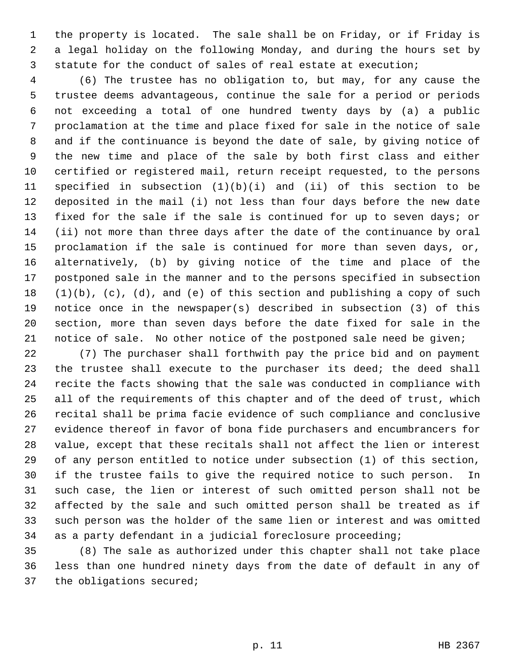1 the property is located. The sale shall be on Friday, or if Friday is 2 a legal holiday on the following Monday, and during the hours set by 3 statute for the conduct of sales of real estate at execution;

 4 (6) The trustee has no obligation to, but may, for any cause the 5 trustee deems advantageous, continue the sale for a period or periods 6 not exceeding a total of one hundred twenty days by (a) a public 7 proclamation at the time and place fixed for sale in the notice of sale 8 and if the continuance is beyond the date of sale, by giving notice of 9 the new time and place of the sale by both first class and either 10 certified or registered mail, return receipt requested, to the persons 11 specified in subsection (1)(b)(i) and (ii) of this section to be 12 deposited in the mail (i) not less than four days before the new date 13 fixed for the sale if the sale is continued for up to seven days; or 14 (ii) not more than three days after the date of the continuance by oral 15 proclamation if the sale is continued for more than seven days, or, 16 alternatively, (b) by giving notice of the time and place of the 17 postponed sale in the manner and to the persons specified in subsection  $18$   $(1)(b)$ ,  $(c)$ ,  $(d)$ , and  $(e)$  of this section and publishing a copy of such 19 notice once in the newspaper(s) described in subsection (3) of this 20 section, more than seven days before the date fixed for sale in the 21 notice of sale. No other notice of the postponed sale need be given;

22 (7) The purchaser shall forthwith pay the price bid and on payment 23 the trustee shall execute to the purchaser its deed; the deed shall 24 recite the facts showing that the sale was conducted in compliance with 25 all of the requirements of this chapter and of the deed of trust, which 26 recital shall be prima facie evidence of such compliance and conclusive 27 evidence thereof in favor of bona fide purchasers and encumbrancers for 28 value, except that these recitals shall not affect the lien or interest 29 of any person entitled to notice under subsection (1) of this section, 30 if the trustee fails to give the required notice to such person. In 31 such case, the lien or interest of such omitted person shall not be 32 affected by the sale and such omitted person shall be treated as if 33 such person was the holder of the same lien or interest and was omitted 34 as a party defendant in a judicial foreclosure proceeding;

35 (8) The sale as authorized under this chapter shall not take place 36 less than one hundred ninety days from the date of default in any of 37 the obligations secured;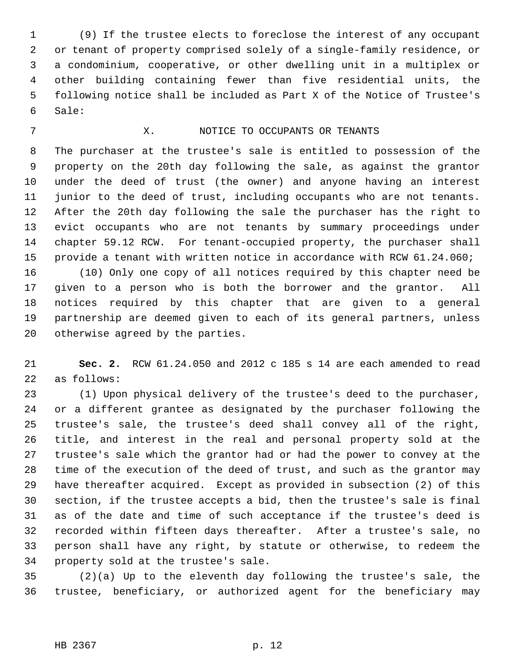1 (9) If the trustee elects to foreclose the interest of any occupant 2 or tenant of property comprised solely of a single-family residence, or 3 a condominium, cooperative, or other dwelling unit in a multiplex or 4 other building containing fewer than five residential units, the 5 following notice shall be included as Part X of the Notice of Trustee's 6 Sale:

### 7 X. NOTICE TO OCCUPANTS OR TENANTS

 8 The purchaser at the trustee's sale is entitled to possession of the 9 property on the 20th day following the sale, as against the grantor 10 under the deed of trust (the owner) and anyone having an interest 11 junior to the deed of trust, including occupants who are not tenants. 12 After the 20th day following the sale the purchaser has the right to 13 evict occupants who are not tenants by summary proceedings under 14 chapter 59.12 RCW. For tenant-occupied property, the purchaser shall 15 provide a tenant with written notice in accordance with RCW 61.24.060;

16 (10) Only one copy of all notices required by this chapter need be 17 given to a person who is both the borrower and the grantor. All 18 notices required by this chapter that are given to a general 19 partnership are deemed given to each of its general partners, unless 20 otherwise agreed by the parties.

21 **Sec. 2.** RCW 61.24.050 and 2012 c 185 s 14 are each amended to read 22 as follows:

23 (1) Upon physical delivery of the trustee's deed to the purchaser, 24 or a different grantee as designated by the purchaser following the 25 trustee's sale, the trustee's deed shall convey all of the right, 26 title, and interest in the real and personal property sold at the 27 trustee's sale which the grantor had or had the power to convey at the 28 time of the execution of the deed of trust, and such as the grantor may 29 have thereafter acquired. Except as provided in subsection (2) of this 30 section, if the trustee accepts a bid, then the trustee's sale is final 31 as of the date and time of such acceptance if the trustee's deed is 32 recorded within fifteen days thereafter. After a trustee's sale, no 33 person shall have any right, by statute or otherwise, to redeem the 34 property sold at the trustee's sale.

35 (2)(a) Up to the eleventh day following the trustee's sale, the 36 trustee, beneficiary, or authorized agent for the beneficiary may

#### HB 2367 p. 12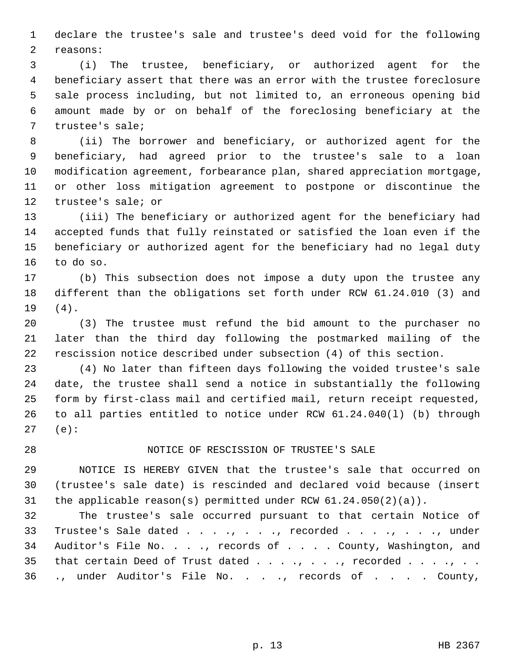1 declare the trustee's sale and trustee's deed void for the following 2 reasons:

 3 (i) The trustee, beneficiary, or authorized agent for the 4 beneficiary assert that there was an error with the trustee foreclosure 5 sale process including, but not limited to, an erroneous opening bid 6 amount made by or on behalf of the foreclosing beneficiary at the 7 trustee's sale;

 8 (ii) The borrower and beneficiary, or authorized agent for the 9 beneficiary, had agreed prior to the trustee's sale to a loan 10 modification agreement, forbearance plan, shared appreciation mortgage, 11 or other loss mitigation agreement to postpone or discontinue the 12 trustee's sale; or

13 (iii) The beneficiary or authorized agent for the beneficiary had 14 accepted funds that fully reinstated or satisfied the loan even if the 15 beneficiary or authorized agent for the beneficiary had no legal duty 16 to do so.

17 (b) This subsection does not impose a duty upon the trustee any 18 different than the obligations set forth under RCW 61.24.010 (3) and 19 (4).

20 (3) The trustee must refund the bid amount to the purchaser no 21 later than the third day following the postmarked mailing of the 22 rescission notice described under subsection (4) of this section.

23 (4) No later than fifteen days following the voided trustee's sale 24 date, the trustee shall send a notice in substantially the following 25 form by first-class mail and certified mail, return receipt requested, 26 to all parties entitled to notice under RCW 61.24.040(l) (b) through 27 (e):

### 28 NOTICE OF RESCISSION OF TRUSTEE'S SALE

29 NOTICE IS HEREBY GIVEN that the trustee's sale that occurred on 30 (trustee's sale date) is rescinded and declared void because (insert 31 the applicable reason(s) permitted under RCW 61.24.050(2)(a)).

32 The trustee's sale occurred pursuant to that certain Notice of 33 Trustee's Sale dated . . . ., . . ., recorded . . . ., . . ., under 34 Auditor's File No. . . ., records of . . . . County, Washington, and 35 that certain Deed of Trust dated  $\ldots$ , .., .., recorded  $\ldots$ , ... 36 ., under Auditor's File No. . . ., records of . . . . County,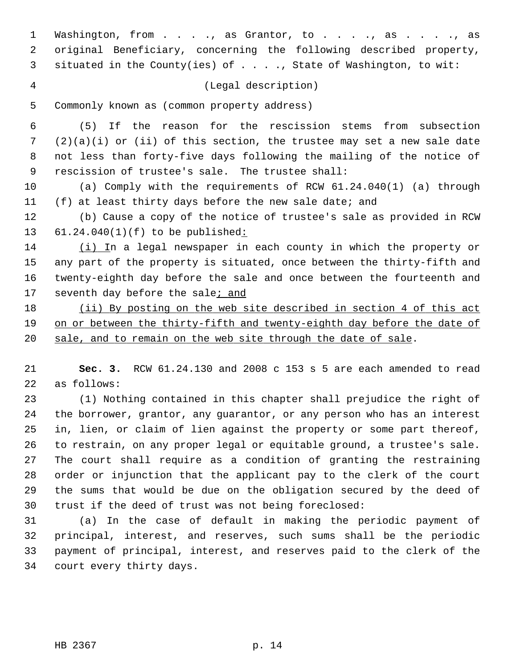1 Washington, from . . . ., as Grantor, to . . . ., as . . . ., as 2 original Beneficiary, concerning the following described property, 3 situated in the County(ies) of . . . ., State of Washington, to wit:

4 (Legal description)

5 Commonly known as (common property address)

 6 (5) If the reason for the rescission stems from subsection 7 (2)(a)(i) or (ii) of this section, the trustee may set a new sale date 8 not less than forty-five days following the mailing of the notice of 9 rescission of trustee's sale. The trustee shall:

10 (a) Comply with the requirements of RCW 61.24.040(1) (a) through 11 (f) at least thirty days before the new sale date; and

12 (b) Cause a copy of the notice of trustee's sale as provided in RCW 13 61.24.040(1)(f) to be published:

14 (i) In a legal newspaper in each county in which the property or 15 any part of the property is situated, once between the thirty-fifth and 16 twenty-eighth day before the sale and once between the fourteenth and 17 seventh day before the sale; and

18 (ii) By posting on the web site described in section 4 of this act 19 on or between the thirty-fifth and twenty-eighth day before the date of 20 sale, and to remain on the web site through the date of sale.

21 **Sec. 3.** RCW 61.24.130 and 2008 c 153 s 5 are each amended to read 22 as follows:

23 (1) Nothing contained in this chapter shall prejudice the right of 24 the borrower, grantor, any guarantor, or any person who has an interest 25 in, lien, or claim of lien against the property or some part thereof, 26 to restrain, on any proper legal or equitable ground, a trustee's sale. 27 The court shall require as a condition of granting the restraining 28 order or injunction that the applicant pay to the clerk of the court 29 the sums that would be due on the obligation secured by the deed of 30 trust if the deed of trust was not being foreclosed:

31 (a) In the case of default in making the periodic payment of 32 principal, interest, and reserves, such sums shall be the periodic 33 payment of principal, interest, and reserves paid to the clerk of the 34 court every thirty days.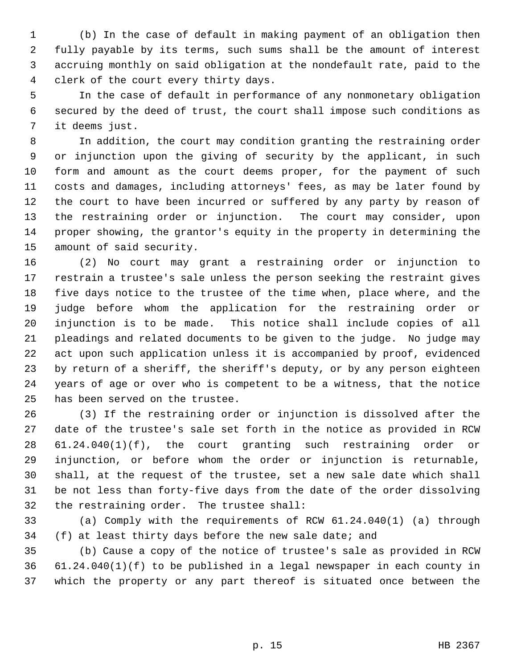1 (b) In the case of default in making payment of an obligation then 2 fully payable by its terms, such sums shall be the amount of interest 3 accruing monthly on said obligation at the nondefault rate, paid to the 4 clerk of the court every thirty days.

 5 In the case of default in performance of any nonmonetary obligation 6 secured by the deed of trust, the court shall impose such conditions as 7 it deems just.

 8 In addition, the court may condition granting the restraining order 9 or injunction upon the giving of security by the applicant, in such 10 form and amount as the court deems proper, for the payment of such 11 costs and damages, including attorneys' fees, as may be later found by 12 the court to have been incurred or suffered by any party by reason of 13 the restraining order or injunction. The court may consider, upon 14 proper showing, the grantor's equity in the property in determining the 15 amount of said security.

16 (2) No court may grant a restraining order or injunction to 17 restrain a trustee's sale unless the person seeking the restraint gives 18 five days notice to the trustee of the time when, place where, and the 19 judge before whom the application for the restraining order or 20 injunction is to be made. This notice shall include copies of all 21 pleadings and related documents to be given to the judge. No judge may 22 act upon such application unless it is accompanied by proof, evidenced 23 by return of a sheriff, the sheriff's deputy, or by any person eighteen 24 years of age or over who is competent to be a witness, that the notice 25 has been served on the trustee.

26 (3) If the restraining order or injunction is dissolved after the 27 date of the trustee's sale set forth in the notice as provided in RCW 28 61.24.040(1)(f), the court granting such restraining order or 29 injunction, or before whom the order or injunction is returnable, 30 shall, at the request of the trustee, set a new sale date which shall 31 be not less than forty-five days from the date of the order dissolving 32 the restraining order. The trustee shall:

33 (a) Comply with the requirements of RCW 61.24.040(1) (a) through 34 (f) at least thirty days before the new sale date; and

35 (b) Cause a copy of the notice of trustee's sale as provided in RCW 36 61.24.040(1)(f) to be published in a legal newspaper in each county in 37 which the property or any part thereof is situated once between the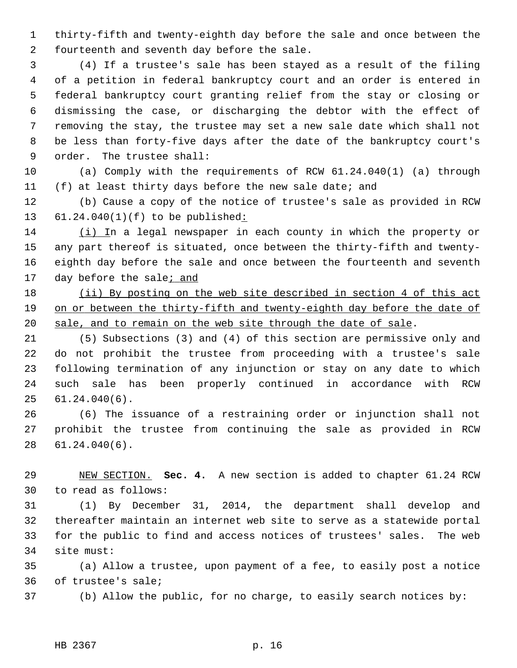1 thirty-fifth and twenty-eighth day before the sale and once between the 2 fourteenth and seventh day before the sale.

 3 (4) If a trustee's sale has been stayed as a result of the filing 4 of a petition in federal bankruptcy court and an order is entered in 5 federal bankruptcy court granting relief from the stay or closing or 6 dismissing the case, or discharging the debtor with the effect of 7 removing the stay, the trustee may set a new sale date which shall not 8 be less than forty-five days after the date of the bankruptcy court's 9 order. The trustee shall:

10 (a) Comply with the requirements of RCW 61.24.040(1) (a) through 11 (f) at least thirty days before the new sale date; and

12 (b) Cause a copy of the notice of trustee's sale as provided in RCW 13 61.24.040(1)(f) to be published:

14 (i) In a legal newspaper in each county in which the property or 15 any part thereof is situated, once between the thirty-fifth and twenty-16 eighth day before the sale and once between the fourteenth and seventh 17 day before the sale; and

18 (ii) By posting on the web site described in section 4 of this act 19 on or between the thirty-fifth and twenty-eighth day before the date of 20 sale, and to remain on the web site through the date of sale.

21 (5) Subsections (3) and (4) of this section are permissive only and 22 do not prohibit the trustee from proceeding with a trustee's sale 23 following termination of any injunction or stay on any date to which 24 such sale has been properly continued in accordance with RCW 25 61.24.040(6).

26 (6) The issuance of a restraining order or injunction shall not 27 prohibit the trustee from continuing the sale as provided in RCW 28 61.24.040(6).

29 NEW SECTION. **Sec. 4.** A new section is added to chapter 61.24 RCW 30 to read as follows:

31 (1) By December 31, 2014, the department shall develop and 32 thereafter maintain an internet web site to serve as a statewide portal 33 for the public to find and access notices of trustees' sales. The web 34 site must:

35 (a) Allow a trustee, upon payment of a fee, to easily post a notice 36 of trustee's sale;

37 (b) Allow the public, for no charge, to easily search notices by: